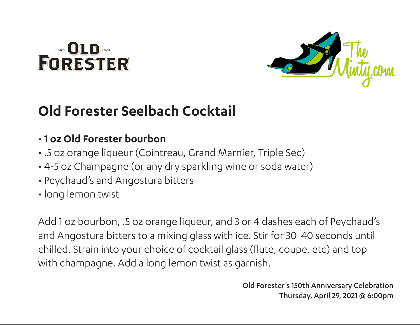# **DLD**<br>FORESTER



### **Old Forester Seelbach Cocktail**

#### • **1 oz Old Forester bourbon**

- .5 oz orange liqueur (Cointreau, Grand Marnier, Triple Sec)
- 4-5 oz Champagne (or any dry sparkling wine or soda water)
- Peychaud's and Angostura bitters
- long lemon twist

Add 1 oz bourbon, .5 oz orange liqueur, and 3 or 4 dashes each of Peychaud's and Angostura bitters to a mixing glass with ice. Stir for 30-40 seconds until chilled. Strain into your choice of cocktail glass (flute, coupe, etc) and top with champagne. Add a long lemon twist as garnish.

> Old Forester's 150th Anniversary Celebration Thursday, April 29, 2021 @ 6:00pm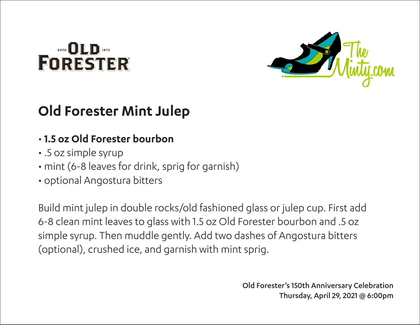# **DLD**<br>FORESTER



### **Old Forester Mint Julep**

#### • **1.5 oz Old Forester bourbon**

- .5 oz simple syrup
- mint (6-8 leaves for drink, sprig for garnish)
- optional Angostura bitters

Build mint julep in double rocks/old fashioned glass or julep cup. First add 6-8 clean mint leaves to glass with 1.5 oz Old Forester bourbon and .5 oz simple syrup. Then muddle gently. Add two dashes of Angostura bitters (optional), crushed ice, and garnish with mint sprig.

> Old Forester's 150th Anniversary Celebration Thursday, April 29, 2021 @ 6:00pm